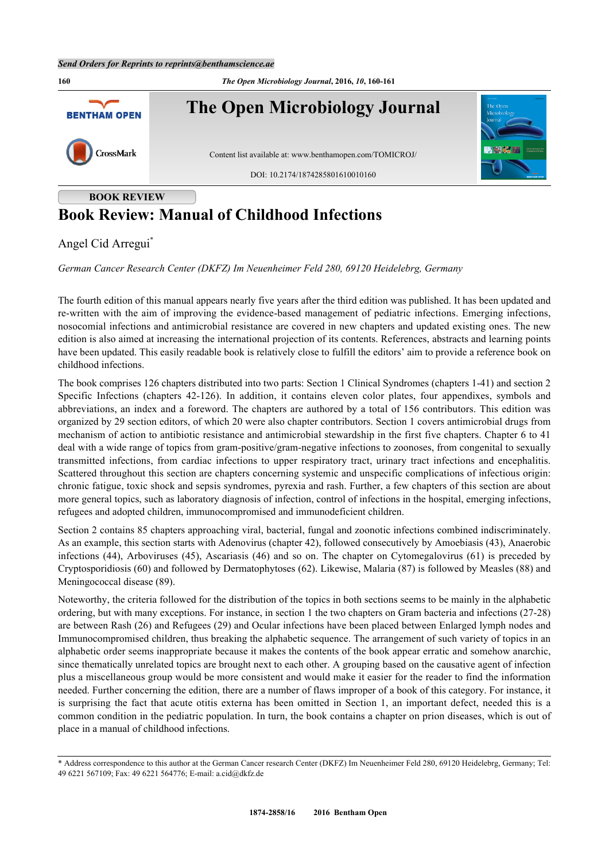

## **Book Review: Manual of Childhood Infections**

Angel Cid Arregui[\\*](#page-0-0)

*German Cancer Research Center (DKFZ) Im Neuenheimer Feld 280, 69120 Heidelebrg, Germany*

The fourth edition of this manual appears nearly five years after the third edition was published. It has been updated and re-written with the aim of improving the evidence-based management of pediatric infections. Emerging infections, nosocomial infections and antimicrobial resistance are covered in new chapters and updated existing ones. The new edition is also aimed at increasing the international projection of its contents. References, abstracts and learning points have been updated. This easily readable book is relatively close to fulfill the editors' aim to provide a reference book on childhood infections.

The book comprises 126 chapters distributed into two parts: Section 1 Clinical Syndromes (chapters 1-41) and section 2 Specific Infections (chapters 42-126). In addition, it contains eleven color plates, four appendixes, symbols and abbreviations, an index and a foreword. The chapters are authored by a total of 156 contributors. This edition was organized by 29 section editors, of which 20 were also chapter contributors. Section 1 covers antimicrobial drugs from mechanism of action to antibiotic resistance and antimicrobial stewardship in the first five chapters. Chapter 6 to 41 deal with a wide range of topics from gram-positive/gram-negative infections to zoonoses, from congenital to sexually transmitted infections, from cardiac infections to upper respiratory tract, urinary tract infections and encephalitis. Scattered throughout this section are chapters concerning systemic and unspecific complications of infectious origin: chronic fatigue, toxic shock and sepsis syndromes, pyrexia and rash. Further, a few chapters of this section are about more general topics, such as laboratory diagnosis of infection, control of infections in the hospital, emerging infections, refugees and adopted children, immunocompromised and immunodeficient children.

Section 2 contains 85 chapters approaching viral, bacterial, fungal and zoonotic infections combined indiscriminately. As an example, this section starts with Adenovirus (chapter 42), followed consecutively by Amoebiasis (43), Anaerobic infections (44), Arboviruses (45), Ascariasis (46) and so on. The chapter on Cytomegalovirus (61) is preceded by Cryptosporidiosis (60) and followed by Dermatophytoses (62). Likewise, Malaria (87) is followed by Measles (88) and Meningococcal disease (89).

Noteworthy, the criteria followed for the distribution of the topics in both sections seems to be mainly in the alphabetic ordering, but with many exceptions. For instance, in section 1 the two chapters on Gram bacteria and infections (27-28) are between Rash (26) and Refugees (29) and Ocular infections have been placed between Enlarged lymph nodes and Immunocompromised children, thus breaking the alphabetic sequence. The arrangement of such variety of topics in an alphabetic order seems inappropriate because it makes the contents of the book appear erratic and somehow anarchic, since thematically unrelated topics are brought next to each other. A grouping based on the causative agent of infection plus a miscellaneous group would be more consistent and would make it easier for the reader to find the information needed. Further concerning the edition, there are a number of flaws improper of a book of this category. For instance, it is surprising the fact that acute otitis externa has been omitted in Section 1, an important defect, needed this is a common condition in the pediatric population. In turn, the book contains a chapter on prion diseases, which is out of place in a manual of childhood infections.

<span id="page-0-0"></span><sup>\*</sup> Address correspondence to this author at the German Cancer research Center (DKFZ) Im Neuenheimer Feld 280, 69120 Heidelebrg, Germany; Tel: 49 6221 567109; Fax: 49 6221 564776; E-mail: [a.cid@dkfz.de](mailto:a.cid@dkfz.de)